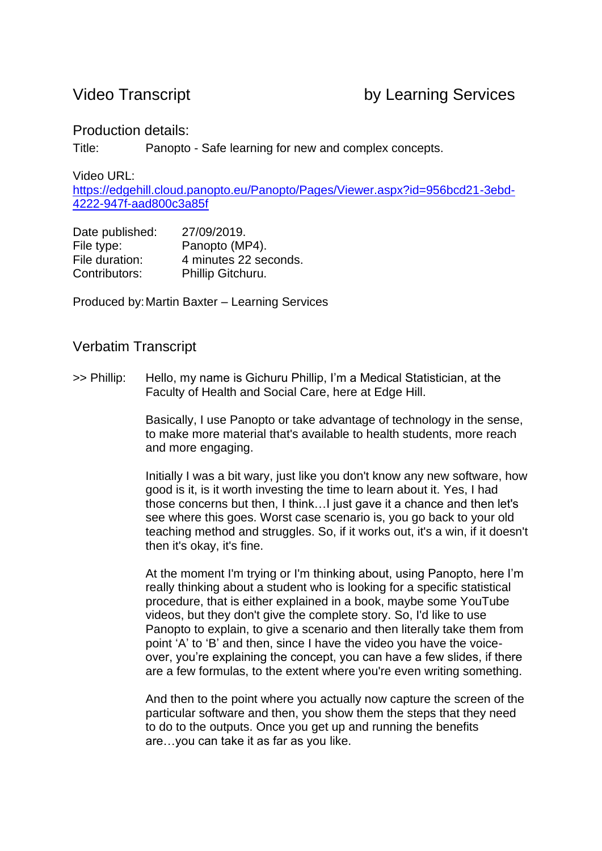## Production details:

Title: Panopto - Safe learning for new and complex concepts.

Video URL:

[https://edgehill.cloud.panopto.eu/Panopto/Pages/Viewer.aspx?id=956bcd21-3ebd-](https://edgehill.cloud.panopto.eu/Panopto/Pages/Viewer.aspx?id=956bcd21-3ebd-4222-947f-aad800c3a85f)[4222-947f-aad800c3a85f](https://edgehill.cloud.panopto.eu/Panopto/Pages/Viewer.aspx?id=956bcd21-3ebd-4222-947f-aad800c3a85f) 

| Date published: | 27/09/2019.           |
|-----------------|-----------------------|
| File type:      | Panopto (MP4).        |
| File duration:  | 4 minutes 22 seconds. |
| Contributors:   | Phillip Gitchuru.     |

Produced by:Martin Baxter – Learning Services

## Verbatim Transcript

>> Phillip: Hello, my name is Gichuru Phillip, I'm a Medical Statistician, at the Faculty of Health and Social Care, here at Edge Hill.

> Basically, I use Panopto or take advantage of technology in the sense, to make more material that's available to health students, more reach and more engaging.

Initially I was a bit wary, just like you don't know any new software, how good is it, is it worth investing the time to learn about it. Yes, I had those concerns but then, I think…I just gave it a chance and then let's see where this goes. Worst case scenario is, you go back to your old teaching method and struggles. So, if it works out, it's a win, if it doesn't then it's okay, it's fine.

At the moment I'm trying or I'm thinking about, using Panopto, here I'm really thinking about a student who is looking for a specific statistical procedure, that is either explained in a book, maybe some YouTube videos, but they don't give the complete story. So, I'd like to use Panopto to explain, to give a scenario and then literally take them from point 'A' to 'B' and then, since I have the video you have the voiceover, you're explaining the concept, you can have a few slides, if there are a few formulas, to the extent where you're even writing something.

And then to the point where you actually now capture the screen of the particular software and then, you show them the steps that they need to do to the outputs. Once you get up and running the benefits are…you can take it as far as you like.